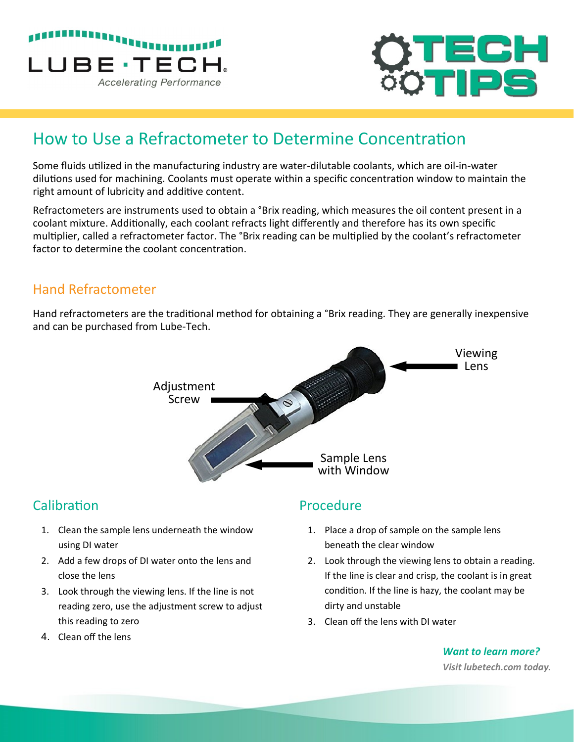



# How to Use a Refractometer to Determine Concentration

Some fluids utilized in the manufacturing industry are water-dilutable coolants, which are oil-in-water dilutions used for machining. Coolants must operate within a specific concentration window to maintain the right amount of lubricity and additive content.

Refractometers are instruments used to obtain a <sup>o</sup>Brix reading, which measures the oil content present in a coolant mixture. Additionally, each coolant refracts light differently and therefore has its own specific multiplier, called a refractometer factor. The °Brix reading can be multiplied by the coolant's refractometer factor to determine the coolant concentration.

#### Hand Refractometer

Hand refractometers are the traditional method for obtaining a °Brix reading. They are generally inexpensive and can be purchased from Lube-Tech.



## **Calibration**

- 1. Clean the sample lens underneath the window using DI water
- 2. Add a few drops of DI water onto the lens and close the lens
- 3. Look through the viewing lens. If the line is not reading zero, use the adjustment screw to adjust this reading to zero
- 4. Clean off the lens

#### Procedure

- 1. Place a drop of sample on the sample lens beneath the clear window
- 2. Look through the viewing lens to obtain a reading. If the line is clear and crisp, the coolant is in great condition. If the line is hazy, the coolant may be dirty and unstable
- 3. Clean off the lens with DI water

*Want to learn more? Visit lubetech.com today.*